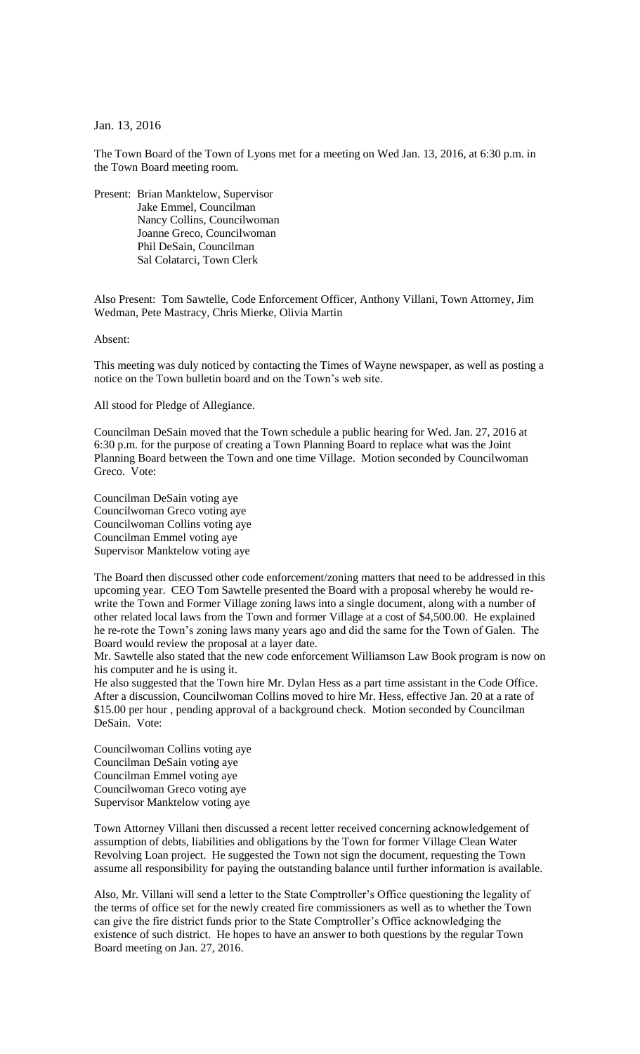Jan. 13, 2016

The Town Board of the Town of Lyons met for a meeting on Wed Jan. 13, 2016, at 6:30 p.m. in the Town Board meeting room.

Present: Brian Manktelow, Supervisor Jake Emmel, Councilman Nancy Collins, Councilwoman Joanne Greco, Councilwoman Phil DeSain, Councilman Sal Colatarci, Town Clerk

Also Present: Tom Sawtelle, Code Enforcement Officer, Anthony Villani, Town Attorney, Jim Wedman, Pete Mastracy, Chris Mierke, Olivia Martin

Absent:

This meeting was duly noticed by contacting the Times of Wayne newspaper, as well as posting a notice on the Town bulletin board and on the Town's web site.

All stood for Pledge of Allegiance.

Councilman DeSain moved that the Town schedule a public hearing for Wed. Jan. 27, 2016 at 6:30 p.m. for the purpose of creating a Town Planning Board to replace what was the Joint Planning Board between the Town and one time Village. Motion seconded by Councilwoman Greco. Vote:

Councilman DeSain voting aye Councilwoman Greco voting aye Councilwoman Collins voting aye Councilman Emmel voting aye Supervisor Manktelow voting aye

The Board then discussed other code enforcement/zoning matters that need to be addressed in this upcoming year. CEO Tom Sawtelle presented the Board with a proposal whereby he would rewrite the Town and Former Village zoning laws into a single document, along with a number of other related local laws from the Town and former Village at a cost of \$4,500.00. He explained he re-rote the Town's zoning laws many years ago and did the same for the Town of Galen. The Board would review the proposal at a layer date.

Mr. Sawtelle also stated that the new code enforcement Williamson Law Book program is now on his computer and he is using it.

He also suggested that the Town hire Mr. Dylan Hess as a part time assistant in the Code Office. After a discussion, Councilwoman Collins moved to hire Mr. Hess, effective Jan. 20 at a rate of \$15.00 per hour , pending approval of a background check. Motion seconded by Councilman DeSain. Vote:

Councilwoman Collins voting aye Councilman DeSain voting aye Councilman Emmel voting aye Councilwoman Greco voting aye Supervisor Manktelow voting aye

Town Attorney Villani then discussed a recent letter received concerning acknowledgement of assumption of debts, liabilities and obligations by the Town for former Village Clean Water Revolving Loan project. He suggested the Town not sign the document, requesting the Town assume all responsibility for paying the outstanding balance until further information is available.

Also, Mr. Villani will send a letter to the State Comptroller's Office questioning the legality of the terms of office set for the newly created fire commissioners as well as to whether the Town can give the fire district funds prior to the State Comptroller's Office acknowledging the existence of such district. He hopes to have an answer to both questions by the regular Town Board meeting on Jan. 27, 2016.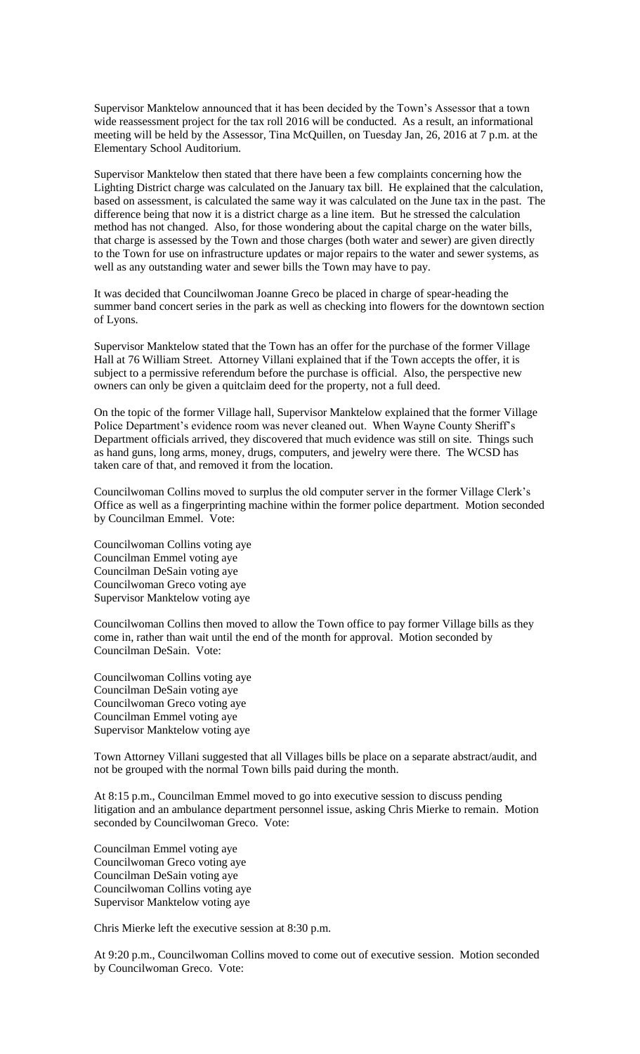Supervisor Manktelow announced that it has been decided by the Town's Assessor that a town wide reassessment project for the tax roll 2016 will be conducted. As a result, an informational meeting will be held by the Assessor, Tina McQuillen, on Tuesday Jan, 26, 2016 at 7 p.m. at the Elementary School Auditorium.

Supervisor Manktelow then stated that there have been a few complaints concerning how the Lighting District charge was calculated on the January tax bill. He explained that the calculation, based on assessment, is calculated the same way it was calculated on the June tax in the past. The difference being that now it is a district charge as a line item. But he stressed the calculation method has not changed. Also, for those wondering about the capital charge on the water bills, that charge is assessed by the Town and those charges (both water and sewer) are given directly to the Town for use on infrastructure updates or major repairs to the water and sewer systems, as well as any outstanding water and sewer bills the Town may have to pay.

It was decided that Councilwoman Joanne Greco be placed in charge of spear-heading the summer band concert series in the park as well as checking into flowers for the downtown section of Lyons.

Supervisor Manktelow stated that the Town has an offer for the purchase of the former Village Hall at 76 William Street. Attorney Villani explained that if the Town accepts the offer, it is subject to a permissive referendum before the purchase is official. Also, the perspective new owners can only be given a quitclaim deed for the property, not a full deed.

On the topic of the former Village hall, Supervisor Manktelow explained that the former Village Police Department's evidence room was never cleaned out. When Wayne County Sheriff's Department officials arrived, they discovered that much evidence was still on site. Things such as hand guns, long arms, money, drugs, computers, and jewelry were there. The WCSD has taken care of that, and removed it from the location.

Councilwoman Collins moved to surplus the old computer server in the former Village Clerk's Office as well as a fingerprinting machine within the former police department. Motion seconded by Councilman Emmel. Vote:

Councilwoman Collins voting aye Councilman Emmel voting aye Councilman DeSain voting aye Councilwoman Greco voting aye Supervisor Manktelow voting aye

Councilwoman Collins then moved to allow the Town office to pay former Village bills as they come in, rather than wait until the end of the month for approval. Motion seconded by Councilman DeSain. Vote:

Councilwoman Collins voting aye Councilman DeSain voting aye Councilwoman Greco voting aye Councilman Emmel voting aye Supervisor Manktelow voting aye

Town Attorney Villani suggested that all Villages bills be place on a separate abstract/audit, and not be grouped with the normal Town bills paid during the month.

At 8:15 p.m., Councilman Emmel moved to go into executive session to discuss pending litigation and an ambulance department personnel issue, asking Chris Mierke to remain. Motion seconded by Councilwoman Greco. Vote:

Councilman Emmel voting aye Councilwoman Greco voting aye Councilman DeSain voting aye Councilwoman Collins voting aye Supervisor Manktelow voting aye

Chris Mierke left the executive session at 8:30 p.m.

At 9:20 p.m., Councilwoman Collins moved to come out of executive session. Motion seconded by Councilwoman Greco. Vote: